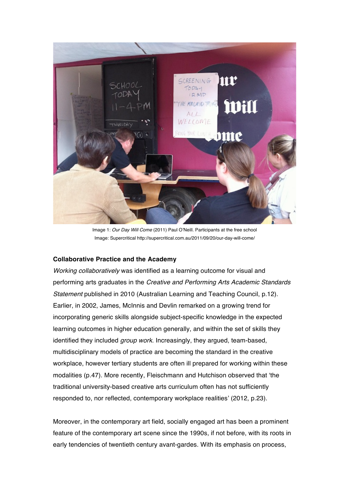

Image 1: *Our Day Will Come* (2011) Paul O'Neill. Participants at the free school Image: Supercritical http://supercritical.com.au/2011/09/20/our-day-will-come/

## **Collaborative Practice and the Academy**

*Working collaboratively* was identified as a learning outcome for visual and performing arts graduates in the *Creative and Performing Arts Academic Standards Statement* published in 2010 (Australian Learning and Teaching Council, p.12). Earlier, in 2002, James, McInnis and Devlin remarked on a growing trend for incorporating generic skills alongside subject-specific knowledge in the expected learning outcomes in higher education generally, and within the set of skills they identified they included *group work*. Increasingly, they argued, team-based, multidisciplinary models of practice are becoming the standard in the creative workplace, however tertiary students are often ill prepared for working within these modalities (p.47). More recently, Fleischmann and Hutchison observed that 'the traditional university-based creative arts curriculum often has not sufficiently responded to, nor reflected, contemporary workplace realities' (2012, p.23).

Moreover, in the contemporary art field, socially engaged art has been a prominent feature of the contemporary art scene since the 1990s, if not before, with its roots in early tendencies of twentieth century avant-gardes. With its emphasis on process,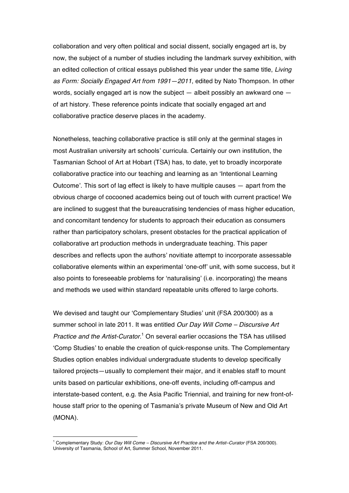collaboration and very often political and social dissent, socially engaged art is, by now, the subject of a number of studies including the landmark survey exhibition, with an edited collection of critical essays published this year under the same title, *Living as Form: Socially Engaged Art from 1991—2011*, edited by Nato Thompson. In other words, socially engaged art is now the subject — albeit possibly an awkward one of art history. These reference points indicate that socially engaged art and collaborative practice deserve places in the academy.

Nonetheless, teaching collaborative practice is still only at the germinal stages in most Australian university art schools' curricula. Certainly our own institution, the Tasmanian School of Art at Hobart (TSA) has, to date, yet to broadly incorporate collaborative practice into our teaching and learning as an 'Intentional Learning Outcome'. This sort of lag effect is likely to have multiple causes — apart from the obvious charge of cocooned academics being out of touch with current practice! We are inclined to suggest that the bureaucratising tendencies of mass higher education, and concomitant tendency for students to approach their education as consumers rather than participatory scholars, present obstacles for the practical application of collaborative art production methods in undergraduate teaching. This paper describes and reflects upon the authors' novitiate attempt to incorporate assessable collaborative elements within an experimental 'one-off' unit, with some success, but it also points to foreseeable problems for 'naturalising' (i.e. incorporating) the means and methods we used within standard repeatable units offered to large cohorts.

We devised and taught our 'Complementary Studies' unit (FSA 200/300) as a summer school in late 2011. It was entitled *Our Day Will Come – Discursive Art Practice and the Artist-Curator*. <sup>1</sup> On several earlier occasions the TSA has utilised 'Comp Studies' to enable the creation of quick-response units. The Complementary Studies option enables individual undergraduate students to develop specifically tailored projects—usually to complement their major, and it enables staff to mount units based on particular exhibitions, one-off events, including off-campus and interstate-based content, e.g. the Asia Pacific Triennial, and training for new front-ofhouse staff prior to the opening of Tasmania's private Museum of New and Old Art (MONA).

 $\overline{a}$ 

<sup>1</sup> Complementary Study: *Our Day Will Come – Discursive Art Practice and the Artist–Curator* (FSA 200/300). University of Tasmania, School of Art, Summer School, November 2011.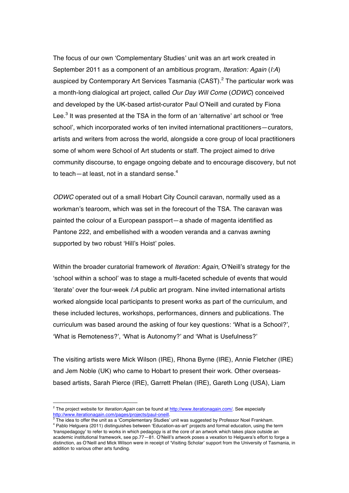The focus of our own 'Complementary Studies' unit was an art work created in September 2011 as a component of an ambitious program, *Iteration: Again* (*I:A*) auspiced by Contemporary Art Services Tasmania  $(CAST)$ <sup>2</sup> The particular work was a month-long dialogical art project, called *Our Day Will Come* (*ODWC*) conceived and developed by the UK-based artist-curator Paul O'Neill and curated by Fiona Lee.<sup>3</sup> It was presented at the TSA in the form of an 'alternative' art school or 'free school', which incorporated works of ten invited international practitioners—curators, artists and writers from across the world, alongside a core group of local practitioners some of whom were School of Art students or staff. The project aimed to drive community discourse, to engage ongoing debate and to encourage discovery, but not to teach—at least, not in a standard sense. $^{\rm 4}$ 

*ODWC* operated out of a small Hobart City Council caravan, normally used as a workman's tearoom, which was set in the forecourt of the TSA. The caravan was painted the colour of a European passport—a shade of magenta identified as Pantone 222, and embellished with a wooden veranda and a canvas awning supported by two robust 'Hill's Hoist' poles.

Within the broader curatorial framework of *Iteration: Again*, O'Neill's strategy for the 'school within a school' was to stage a multi-faceted schedule of events that would 'iterate' over the four-week *I:A* public art program. Nine invited international artists worked alongside local participants to present works as part of the curriculum, and these included lectures, workshops, performances, dinners and publications. The curriculum was based around the asking of four key questions: 'What is a School?', 'What is Remoteness?', 'What is Autonomy?' and 'What is Usefulness?'

The visiting artists were Mick Wilson (IRE), Rhona Byrne (IRE), Annie Fletcher (IRE) and Jem Noble (UK) who came to Hobart to present their work. Other overseasbased artists, Sarah Pierce (IRE), Garrett Phelan (IRE), Gareth Long (USA), Liam

 $\overline{a}$ 

<sup>2</sup> The project website for *Iteration:Again* can be found at http://www.iterationagain.com/. See especially http://www.iterationagain.com/pages/projects/paul-oneill.<br><sup>3</sup> The idea to offer the unit as a 'Complementary Studies' unit was suggested by Professor Noel Frankham.

<sup>4</sup> Pablo Helguera (2011) distinguishes between 'Education-as-art' projects and formal education, using the term 'transpedagogy' to refer to works in which pedagogy is at the core of an artwork which takes place outside an academic institutional framework, see pp.77—81. O'Neill's artwork poses a vexation to Helguera's effort to forge a distinction, as O'Neill and Mick Wilson were in receipt of 'Visiting Scholar' support from the University of Tasmania, in addition to various other arts funding.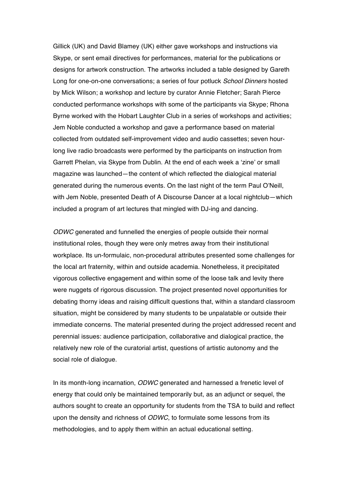Gillick (UK) and David Blamey (UK) either gave workshops and instructions via Skype, or sent email directives for performances, material for the publications or designs for artwork construction. The artworks included a table designed by Gareth Long for one-on-one conversations; a series of four potluck *School Dinners* hosted by Mick Wilson; a workshop and lecture by curator Annie Fletcher; Sarah Pierce conducted performance workshops with some of the participants via Skype; Rhona Byrne worked with the Hobart Laughter Club in a series of workshops and activities; Jem Noble conducted a workshop and gave a performance based on material collected from outdated self-improvement video and audio cassettes; seven hourlong live radio broadcasts were performed by the participants on instruction from Garrett Phelan, via Skype from Dublin. At the end of each week a 'zine' or small magazine was launched—the content of which reflected the dialogical material generated during the numerous events. On the last night of the term Paul O'Neill, with Jem Noble, presented Death of A Discourse Dancer at a local nightclub—which included a program of art lectures that mingled with DJ-ing and dancing.

*ODWC* generated and funnelled the energies of people outside their normal institutional roles, though they were only metres away from their institutional workplace. Its un-formulaic, non-procedural attributes presented some challenges for the local art fraternity, within and outside academia. Nonetheless, it precipitated vigorous collective engagement and within some of the loose talk and levity there were nuggets of rigorous discussion. The project presented novel opportunities for debating thorny ideas and raising difficult questions that, within a standard classroom situation, might be considered by many students to be unpalatable or outside their immediate concerns. The material presented during the project addressed recent and perennial issues: audience participation, collaborative and dialogical practice, the relatively new role of the curatorial artist, questions of artistic autonomy and the social role of dialogue.

In its month-long incarnation, *ODWC* generated and harnessed a frenetic level of energy that could only be maintained temporarily but, as an adjunct or sequel, the authors sought to create an opportunity for students from the TSA to build and reflect upon the density and richness of *ODWC*, to formulate some lessons from its methodologies, and to apply them within an actual educational setting.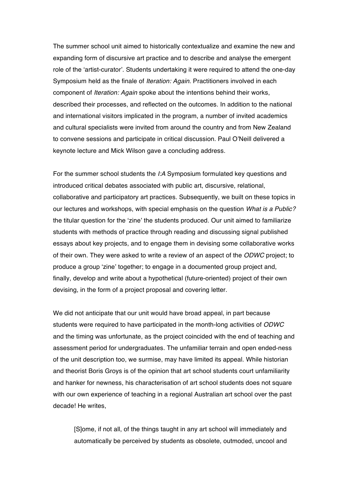The summer school unit aimed to historically contextualize and examine the new and expanding form of discursive art practice and to describe and analyse the emergent role of the 'artist-curator'. Students undertaking it were required to attend the one-day Symposium held as the finale of *Iteration: Again*. Practitioners involved in each component of *Iteration: Again* spoke about the intentions behind their works, described their processes, and reflected on the outcomes. In addition to the national and international visitors implicated in the program, a number of invited academics and cultural specialists were invited from around the country and from New Zealand to convene sessions and participate in critical discussion. Paul O'Neill delivered a keynote lecture and Mick Wilson gave a concluding address.

For the summer school students the *I:A* Symposium formulated key questions and introduced critical debates associated with public art, discursive, relational, collaborative and participatory art practices. Subsequently, we built on these topics in our lectures and workshops, with special emphasis on the question *What is a Public?* the titular question for the 'zine' the students produced. Our unit aimed to familiarize students with methods of practice through reading and discussing signal published essays about key projects, and to engage them in devising some collaborative works of their own. They were asked to write a review of an aspect of the *ODWC* project; to produce a group 'zine' together; to engage in a documented group project and, finally, develop and write about a hypothetical (future-oriented) project of their own devising, in the form of a project proposal and covering letter.

We did not anticipate that our unit would have broad appeal, in part because students were required to have participated in the month-long activities of *ODWC* and the timing was unfortunate, as the project coincided with the end of teaching and assessment period for undergraduates. The unfamiliar terrain and open ended-ness of the unit description too, we surmise, may have limited its appeal. While historian and theorist Boris Groys is of the opinion that art school students court unfamiliarity and hanker for newness, his characterisation of art school students does not square with our own experience of teaching in a regional Australian art school over the past decade! He writes,

[S]ome, if not all, of the things taught in any art school will immediately and automatically be perceived by students as obsolete, outmoded, uncool and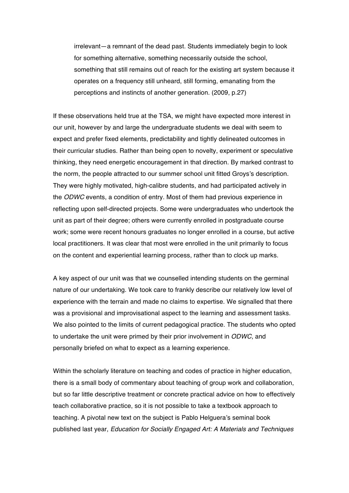irrelevant—a remnant of the dead past. Students immediately begin to look for something alternative, something necessarily outside the school, something that still remains out of reach for the existing art system because it operates on a frequency still unheard, still forming, emanating from the perceptions and instincts of another generation. (2009, p.27)

If these observations held true at the TSA, we might have expected more interest in our unit, however by and large the undergraduate students we deal with seem to expect and prefer fixed elements, predictability and tightly delineated outcomes in their curricular studies. Rather than being open to novelty, experiment or speculative thinking, they need energetic encouragement in that direction. By marked contrast to the norm, the people attracted to our summer school unit fitted Groys's description. They were highly motivated, high-calibre students, and had participated actively in the *ODWC* events, a condition of entry. Most of them had previous experience in reflecting upon self-directed projects. Some were undergraduates who undertook the unit as part of their degree; others were currently enrolled in postgraduate course work; some were recent honours graduates no longer enrolled in a course, but active local practitioners. It was clear that most were enrolled in the unit primarily to focus on the content and experiential learning process, rather than to clock up marks.

A key aspect of our unit was that we counselled intending students on the germinal nature of our undertaking. We took care to frankly describe our relatively low level of experience with the terrain and made no claims to expertise. We signalled that there was a provisional and improvisational aspect to the learning and assessment tasks. We also pointed to the limits of current pedagogical practice. The students who opted to undertake the unit were primed by their prior involvement in *ODWC*, and personally briefed on what to expect as a learning experience.

Within the scholarly literature on teaching and codes of practice in higher education, there is a small body of commentary about teaching of group work and collaboration, but so far little descriptive treatment or concrete practical advice on how to effectively teach collaborative practice, so it is not possible to take a textbook approach to teaching. A pivotal new text on the subject is Pablo Helguera's seminal book published last year, *Education for Socially Engaged Art: A Materials and Techniques*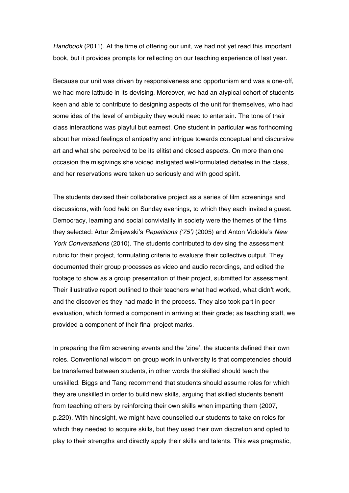*Handbook* (2011). At the time of offering our unit, we had not yet read this important book, but it provides prompts for reflecting on our teaching experience of last year.

Because our unit was driven by responsiveness and opportunism and was a one-off, we had more latitude in its devising. Moreover, we had an atypical cohort of students keen and able to contribute to designing aspects of the unit for themselves, who had some idea of the level of ambiguity they would need to entertain. The tone of their class interactions was playful but earnest. One student in particular was forthcoming about her mixed feelings of antipathy and intrigue towards conceptual and discursive art and what she perceived to be its elitist and closed aspects. On more than one occasion the misgivings she voiced instigated well-formulated debates in the class, and her reservations were taken up seriously and with good spirit.

The students devised their collaborative project as a series of film screenings and discussions, with food held on Sunday evenings, to which they each invited a guest. Democracy, learning and social conviviality in society were the themes of the films they selected: Artur Żmijewski's *Repetitions ('75')* (2005) and Anton Vidokle's *New York Conversations* (2010). The students contributed to devising the assessment rubric for their project, formulating criteria to evaluate their collective output. They documented their group processes as video and audio recordings, and edited the footage to show as a group presentation of their project, submitted for assessment. Their illustrative report outlined to their teachers what had worked, what didn't work, and the discoveries they had made in the process. They also took part in peer evaluation, which formed a component in arriving at their grade; as teaching staff, we provided a component of their final project marks.

In preparing the film screening events and the 'zine', the students defined their own roles. Conventional wisdom on group work in university is that competencies should be transferred between students, in other words the skilled should teach the unskilled. Biggs and Tang recommend that students should assume roles for which they are unskilled in order to build new skills, arguing that skilled students benefit from teaching others by reinforcing their own skills when imparting them (2007, p.220). With hindsight, we might have counselled our students to take on roles for which they needed to acquire skills, but they used their own discretion and opted to play to their strengths and directly apply their skills and talents. This was pragmatic,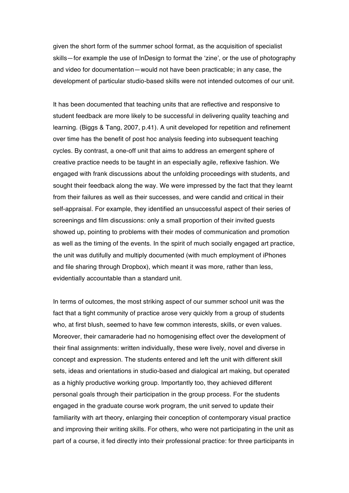given the short form of the summer school format, as the acquisition of specialist skills—for example the use of InDesign to format the 'zine', or the use of photography and video for documentation—would not have been practicable; in any case, the development of particular studio-based skills were not intended outcomes of our unit.

It has been documented that teaching units that are reflective and responsive to student feedback are more likely to be successful in delivering quality teaching and learning. (Biggs & Tang, 2007, p.41). A unit developed for repetition and refinement over time has the benefit of post hoc analysis feeding into subsequent teaching cycles. By contrast, a one-off unit that aims to address an emergent sphere of creative practice needs to be taught in an especially agile, reflexive fashion. We engaged with frank discussions about the unfolding proceedings with students, and sought their feedback along the way. We were impressed by the fact that they learnt from their failures as well as their successes, and were candid and critical in their self-appraisal. For example, they identified an unsuccessful aspect of their series of screenings and film discussions: only a small proportion of their invited guests showed up, pointing to problems with their modes of communication and promotion as well as the timing of the events. In the spirit of much socially engaged art practice, the unit was dutifully and multiply documented (with much employment of iPhones and file sharing through Dropbox), which meant it was more, rather than less, evidentially accountable than a standard unit.

In terms of outcomes, the most striking aspect of our summer school unit was the fact that a tight community of practice arose very quickly from a group of students who, at first blush, seemed to have few common interests, skills, or even values. Moreover, their camaraderie had no homogenising effect over the development of their final assignments: written individually, these were lively, novel and diverse in concept and expression. The students entered and left the unit with different skill sets, ideas and orientations in studio-based and dialogical art making, but operated as a highly productive working group. Importantly too, they achieved different personal goals through their participation in the group process. For the students engaged in the graduate course work program, the unit served to update their familiarity with art theory, enlarging their conception of contemporary visual practice and improving their writing skills. For others, who were not participating in the unit as part of a course, it fed directly into their professional practice: for three participants in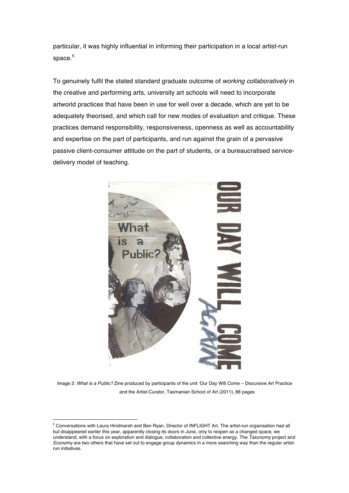particular, it was highly influential in informing their participation in a local artist-run space.<sup>5</sup>

To genuinely fulfil the stated standard graduate outcome of *working collaboratively* in the creative and performing arts, university art schools will need to incorporate artworld practices that have been in use for well over a decade, which are yet to be adequately theorised, and which call for new modes of evaluation and critique. These practices demand responsibility, responsiveness, openness as well as accountability and expertise on the part of participants, and run against the grain of a pervasive passive client-consumer attitude on the part of students, or a bureaucratised servicedelivery model of teaching.



Image 2: *What is a Public?* Zine produced by participants of the unit *'*Our Day Will Come – Discursive Art Practice and the Artist-Curator, Tasmanian School of Art (2011), 88 pages

 $\overline{a}$ 

<sup>5</sup> Conversations with Laura Hindmarsh and Ben Ryan, Director of INFLIGHT Art. The artist-run organisation had all but disappeared earlier this year, apparently closing its doors in June, only to reopen as a changed space, we understand, with a focus on exploration and dialogue, collaboration and collective energy. The *Taxonomy* project and *Economy* are two others that have set out to engage group dynamics in a more searching way than the regular artistrun initiatives.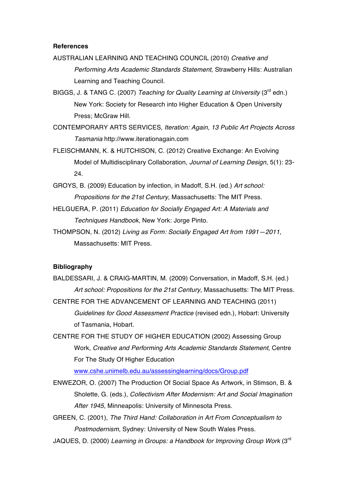## **References**

- AUSTRALIAN LEARNING AND TEACHING COUNCIL (2010) *Creative and Performing Arts Academic Standards Statement*, Strawberry Hills: Australian Learning and Teaching Council.
- BIGGS, J. & TANG C. (2007) *Teaching for Quality Learning at University* (3rd edn.) New York: Society for Research into Higher Education & Open University Press; McGraw Hill.
- CONTEMPORARY ARTS SERVICES, *Iteration: Again, 13 Public Art Projects Across Tasmania* http://www.iterationagain.com
- FLEISCHMANN, K. & HUTCHISON, C. (2012) Creative Exchange: An Evolving Model of Multidisciplinary Collaboration, *Journal of Learning Design*, 5(1): 23- 24.
- GROYS, B. (2009) Education by infection, in Madoff, S.H. (ed.) *Art school: Propositions for the 21st Century*, Massachusetts: The MIT Press.
- HELGUERA, P. (2011) *Education for Socially Engaged Art: A Materials and Techniques Handbook*, New York: Jorge Pinto.
- THOMPSON, N. (2012) *Living as Form: Socially Engaged Art from 1991—2011*, Massachusetts: MIT Press.

## **Bibliography**

- BALDESSARI, J. & CRAIG-MARTIN, M. (2009) Conversation, in Madoff, S.H. (ed.) *Art school: Propositions for the 21st Century*, Massachusetts: The MIT Press.
- CENTRE FOR THE ADVANCEMENT OF LEARNING AND TEACHING (2011) *Guidelines for Good Assessment Practice* (revised edn.), Hobart: University of Tasmania, Hobart.
- CENTRE FOR THE STUDY OF HIGHER EDUCATION (2002) Assessing Group Work, *Creative and Performing Arts Academic Standards Statement*, Centre For The Study Of Higher Education

www.cshe.unimelb.edu.au/assessinglearning/docs/Group.pdf

ENWEZOR, O. (2007) The Production Of Social Space As Artwork, in Stimson, B. & Sholette, G. (eds.), *Collectivism After Modernism: Art and Social Imagination After 1945*, Minneapolis: University of Minnesota Press.

GREEN, C. (2001), *The Third Hand: Collaboration in Art From Conceptualism to Postmodernism*, Sydney: University of New South Wales Press.

JAQUES, D. (2000) *Learning in Groups: a Handbook for Improving Group Work* (3rd